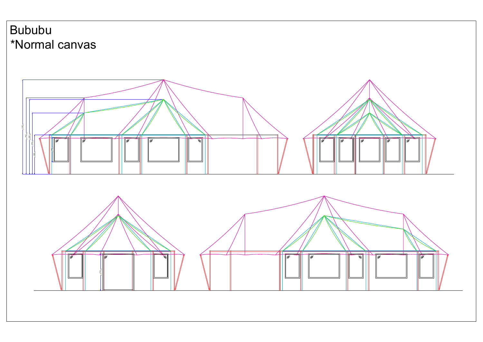## Bububu \*Normal canvas

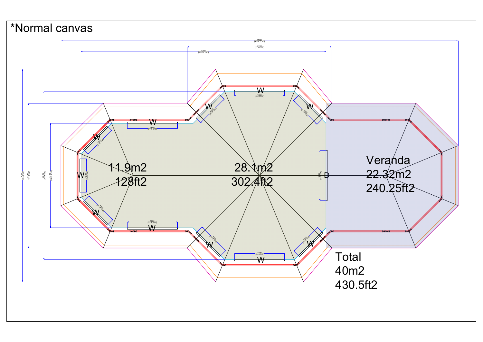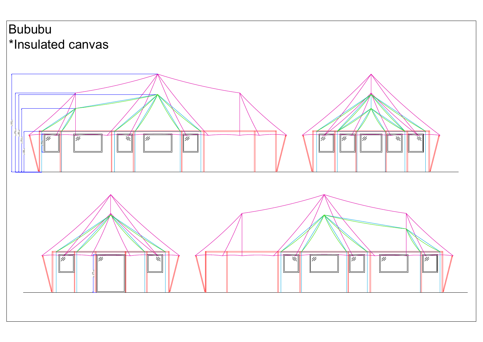## Bububu

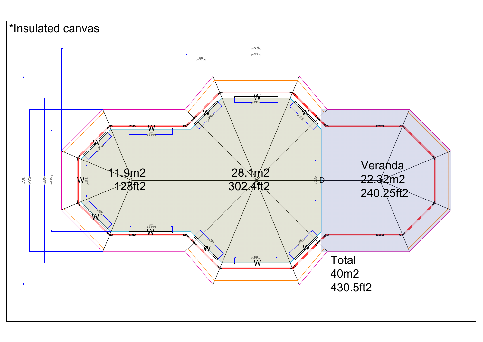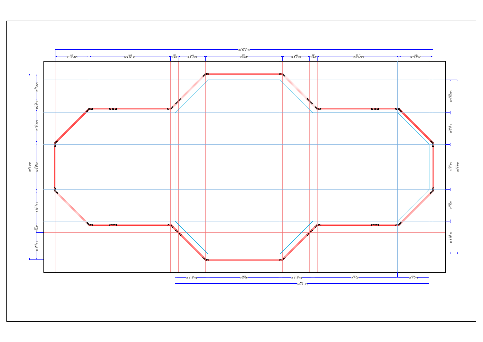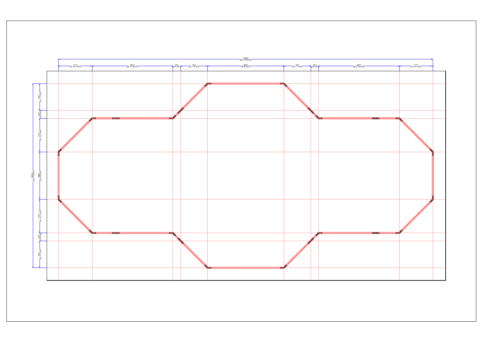